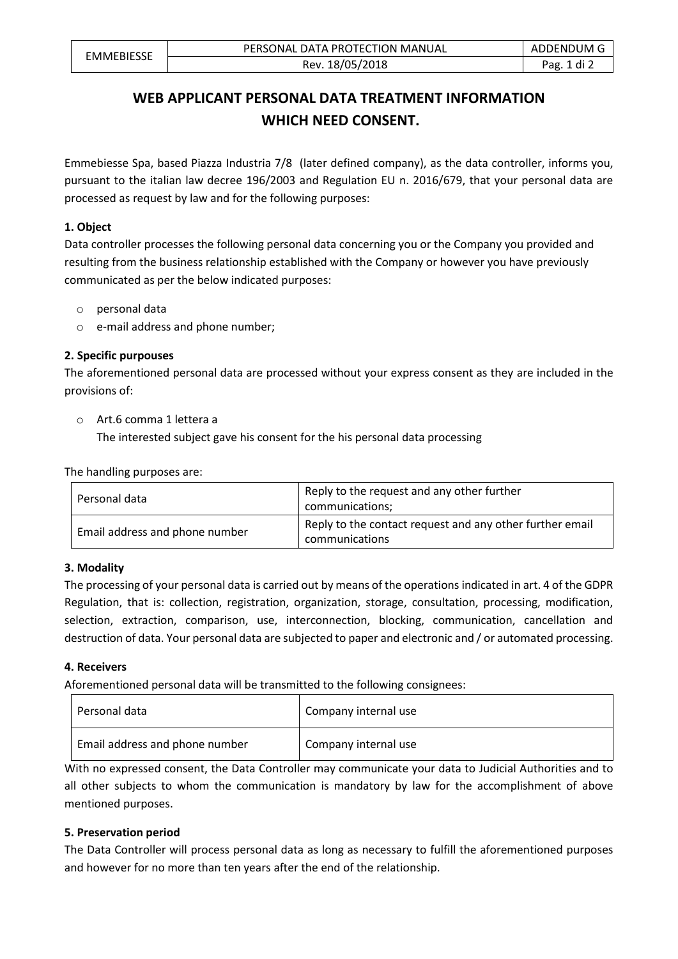# **WEB APPLICANT PERSONAL DATA TREATMENT INFORMATION WHICH NEED CONSENT.**

Emmebiesse Spa, based Piazza Industria 7/8 (later defined company), as the data controller, informs you, pursuant to the italian law decree 196/2003 and Regulation EU n. 2016/679, that your personal data are processed as request by law and for the following purposes:

## **1. Object**

Data controller processes the following personal data concerning you or the Company you provided and resulting from the business relationship established with the Company or however you have previously communicated as per the below indicated purposes:

- o personal data
- o e-mail address and phone number;

## **2. Specific purpouses**

The aforementioned personal data are processed without your express consent as they are included in the provisions of:

o Art.6 comma 1 lettera a The interested subject gave his consent for the his personal data processing

The handling purposes are:

| Personal data                  | Reply to the request and any other further<br>communications;              |
|--------------------------------|----------------------------------------------------------------------------|
| Email address and phone number | Reply to the contact request and any other further email<br>communications |

#### **3. Modality**

The processing of your personal data is carried out by means of the operations indicated in art. 4 of the GDPR Regulation, that is: collection, registration, organization, storage, consultation, processing, modification, selection, extraction, comparison, use, interconnection, blocking, communication, cancellation and destruction of data. Your personal data are subjected to paper and electronic and / or automated processing.

#### **4. Receivers**

Aforementioned personal data will be transmitted to the following consignees:

| Personal data                  | Company internal use |
|--------------------------------|----------------------|
| Email address and phone number | Company internal use |

With no expressed consent, the Data Controller may communicate your data to Judicial Authorities and to all other subjects to whom the communication is mandatory by law for the accomplishment of above mentioned purposes.

#### **5. Preservation period**

The Data Controller will process personal data as long as necessary to fulfill the aforementioned purposes and however for no more than ten years after the end of the relationship.